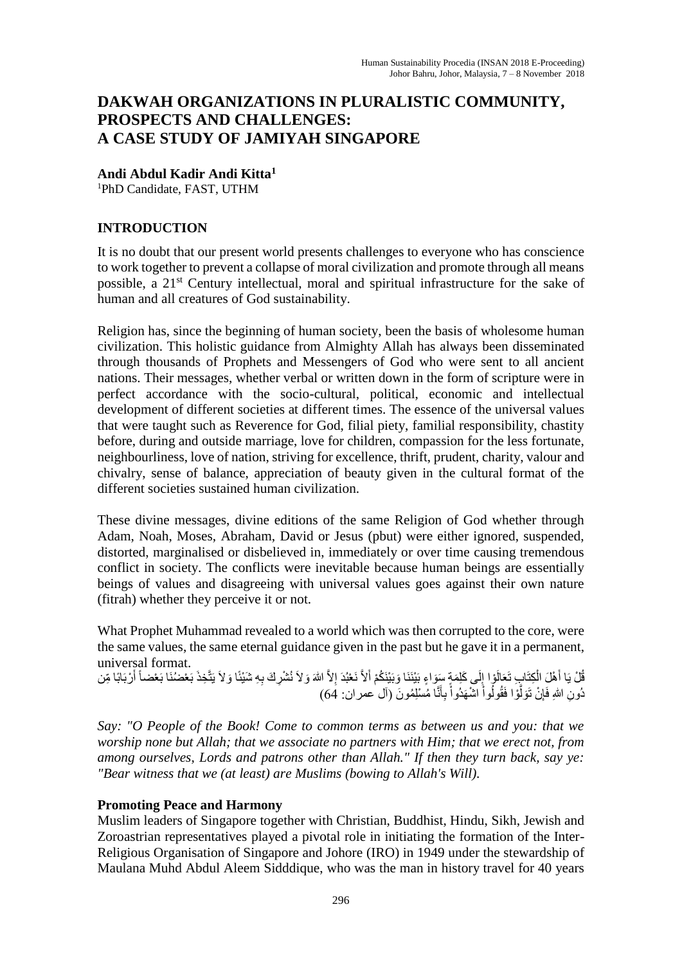# **DAKWAH ORGANIZATIONS IN PLURALISTIC COMMUNITY, PROSPECTS AND CHALLENGES: A CASE STUDY OF JAMIYAH SINGAPORE**

**Andi Abdul Kadir Andi Kitta<sup>1</sup>**

<sup>1</sup>PhD Candidate, FAST, UTHM

## **INTRODUCTION**

It is no doubt that our present world presents challenges to everyone who has conscience to work together to prevent a collapse of moral civilization and promote through all means possible, a 21<sup>st</sup> Century intellectual, moral and spiritual infrastructure for the sake of human and all creatures of God sustainability.

Religion has, since the beginning of human society, been the basis of wholesome human civilization. This holistic guidance from Almighty Allah has always been disseminated through thousands of Prophets and Messengers of God who were sent to all ancient nations. Their messages, whether verbal or written down in the form of scripture were in perfect accordance with the socio-cultural, political, economic and intellectual development of different societies at different times. The essence of the universal values that were taught such as Reverence for God, filial piety, familial responsibility, chastity before, during and outside marriage, love for children, compassion for the less fortunate, neighbourliness, love of nation, striving for excellence, thrift, prudent, charity, valour and chivalry, sense of balance, appreciation of beauty given in the cultural format of the different societies sustained human civilization.

These divine messages, divine editions of the same Religion of God whether through Adam, Noah, Moses, Abraham, David or Jesus (pbut) were either ignored, suspended, distorted, marginalised or disbelieved in, immediately or over time causing tremendous conflict in society. The conflicts were inevitable because human beings are essentially beings of values and disagreeing with universal values goes against their own nature (fitrah) whether they perceive it or not.

What Prophet Muhammad revealed to a world which was then corrupted to the core, were the same values, the same eternal guidance given in the past but he gave it in a permanent, universal format.

ثُلْ يَا أَهْلَ الْكِتَابِ تَعَالَوْا إِلَى كَلِمَةٍ سَوَاءٍ بَيْنَنَا وَبَيْنَكُمْ أَلاَّ نَعْبُدَ إِلاَّ اللهَ وَلاَ نُشْرِكَ بِهِ شَيْئًا وَلاَ يَتَّخِذَ بَعْضُنَا بَعْضاً أَرْبَابًا مِّن ْ َ دُونِ اللهِ فَإِنْ نَوَلُّوْا فَقُولُواْ اللهُهَدُواْ بِأَنَّا مُسْلِمُونَ (آل عمران: 64) َّ َ ِأ ْ ْ

*Say: "O People of the Book! Come to common terms as between us and you: that we worship none but Allah; that we associate no partners with Him; that we erect not, from among ourselves, Lords and patrons other than Allah." If then they turn back, say ye: "Bear witness that we (at least) are Muslims (bowing to Allah's Will).*

### **Promoting Peace and Harmony**

Muslim leaders of Singapore together with Christian, Buddhist, Hindu, Sikh, Jewish and Zoroastrian representatives played a pivotal role in initiating the formation of the Inter-Religious Organisation of Singapore and Johore (IRO) in 1949 under the stewardship of Maulana Muhd Abdul Aleem Sidddique, who was the man in history travel for 40 years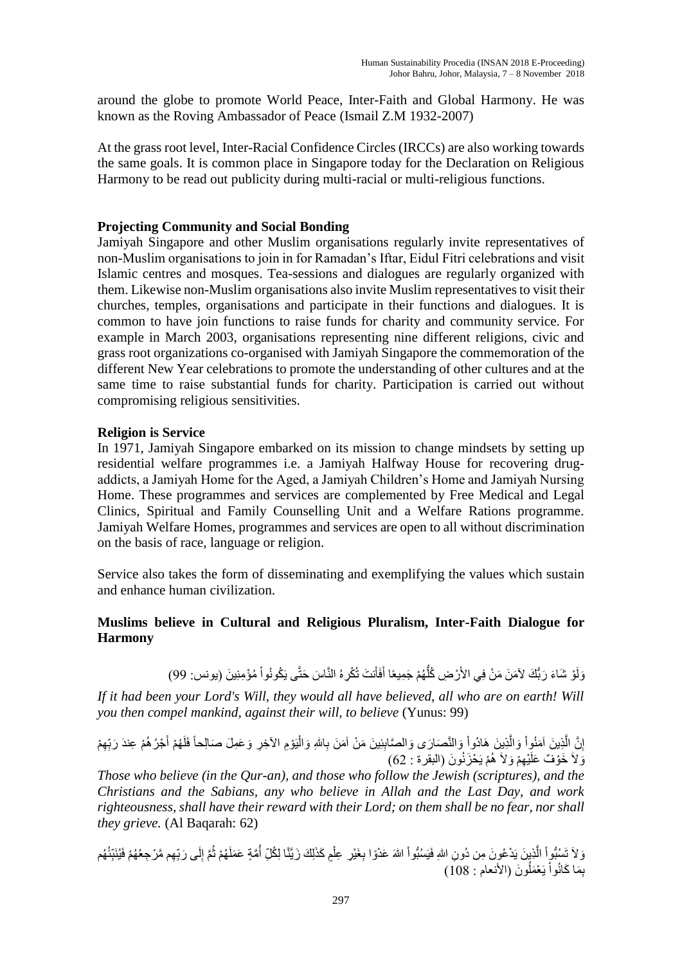around the globe to promote World Peace, Inter-Faith and Global Harmony. He was known as the Roving Ambassador of Peace (Ismail Z.M 1932-2007)

At the grass root level, Inter-Racial Confidence Circles (IRCCs) are also working towards the same goals. It is common place in Singapore today for the Declaration on Religious Harmony to be read out publicity during multi-racial or multi-religious functions.

#### **Projecting Community and Social Bonding**

Jamiyah Singapore and other Muslim organisations regularly invite representatives of non-Muslim organisations to join in for Ramadan's Iftar, Eidul Fitri celebrations and visit Islamic centres and mosques. Tea-sessions and dialogues are regularly organized with them. Likewise non-Muslim organisations also invite Muslim representatives to visit their churches, temples, organisations and participate in their functions and dialogues. It is common to have join functions to raise funds for charity and community service. For example in March 2003, organisations representing nine different religions, civic and grass root organizations co-organised with Jamiyah Singapore the commemoration of the different New Year celebrations to promote the understanding of other cultures and at the same time to raise substantial funds for charity. Participation is carried out without compromising religious sensitivities.

#### **Religion is Service**

In 1971, Jamiyah Singapore embarked on its mission to change mindsets by setting up residential welfare programmes i.e. a Jamiyah Halfway House for recovering drugaddicts, a Jamiyah Home for the Aged, a Jamiyah Children's Home and Jamiyah Nursing Home. These programmes and services are complemented by Free Medical and Legal Clinics, Spiritual and Family Counselling Unit and a Welfare Rations programme. Jamiyah Welfare Homes, programmes and services are open to all without discrimination on the basis of race, language or religion.

Service also takes the form of disseminating and exemplifying the values which sustain and enhance human civilization.

### **Muslims believe in Cultural and Religious Pluralism, Inter-Faith Dialogue for Harmony**

وَلَوْ شَاءَ رَبُّكَ لآمَنَ مَنْ فِي الأَرْضِ كُلُّهُمْ جَمِيعًا أَفَأَنتَ تُكْرِهُ النَّاسَ حَتَّى يَكُونُواْ مُؤْمِنِينَ (يونس: 99) ُّ ْ َ

*If it had been your Lord's Will, they would all have believed, all who are on earth! Will you then compel mankind, against their will, to believe* (Yunus: 99)

ْ َمنُوا ِ ي َن آ َّ َّن ال ِ َبى َو إ َصا َوالنَّ ْ ِ ي َن َهادُوا َّ َم َن َوال ال َّصاب اللِ ِاِي َن َم ْن آ ِ ِ ِهْم ب َبب ْج ُك ُه ْم ِعندَ َ ُهْم أ إَلَ يَ ْوِم اآل ِخِك َو َعِم َل َصاِلحا ْ َوال َوالَ ُه ْم يَ ْح َزنُو َن َوالَ ِهْم ْي َخ )البقكة : 46( ْو ٌف َعلَ

*Those who believe (in the Qur-an), and those who follow the Jewish (scriptures), and the Christians and the Sabians, any who believe in Allah and the Last Day, and work righteousness, shall have their reward with their Lord; on them shall be no fear, nor shall they grieve.* (Al Baqarah: 62)

وَ لاَ تَسُبُّواْ الَّذِينَ يَدْعُونَ مِن دُونِ اللهِ فَيَسُبُّواْ اللهَ عَدْوًا بِغَيْرِ عِلْمٍ كَذَلِكَ زَيَّنَّا لِكُلِّ أُمَّةٍ عَمَلَهُمْ ثُمَّ إِلَى رَبِّهِم مَّرْجِعُهُمْ فَيُنَبِّئُهُم َّ ْ ا<br>ا ْ **∶** ِ ْ بِمَا كَانُواْ يَعْمَلُونَ (الأنعام : 108) اُ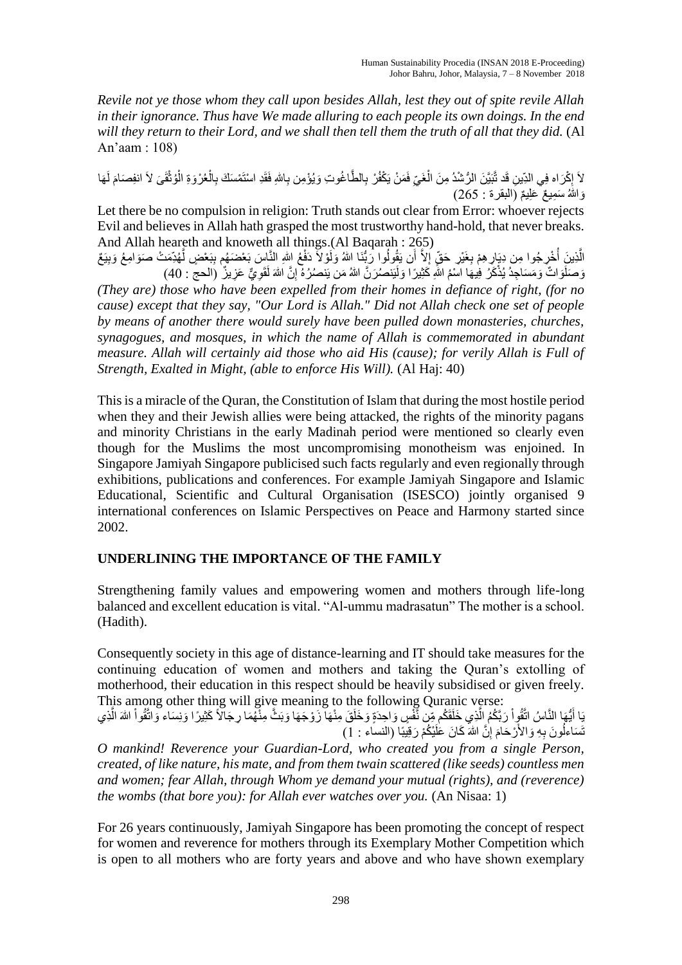*Revile not ye those whom they call upon besides Allah, lest they out of spite revile Allah in their ignorance. Thus have We made alluring to each people its own doings. In the end will they return to their Lord, and we shall then tell them the truth of all that they did.* (Al An'aam : 108)

لاَ إِكْرَاه فِي الذِّينِ قَد تَّبَيَّنَ الرُّسُْدُ مِنَ الْغَيِّ فَمَنْ يَكْفُرْ بِالطَّاغُوتِ وَيُؤْمِن بِاللهِ فَقَدِ اسْتَمْسَكَ بِالْعُرْوَةِ الْوُثْقَىَ لاَ انفِصَامَ لَهَا<br>إِنَّ الْجُمْرَةِ الْوُثْقَى لاَ انفِصَامَ ِ ْ ْ ْ  $\frac{1}{2}$ ْ وَاللهُ سَمِيعٌ عَلِيمٌ (البقرة : 265)

Let there be no compulsion in religion: Truth stands out clear from Error: whoever rejects Evil and believes in Allah hath grasped the most trustworthy hand-hold, that never breaks. And Allah heareth and knoweth all things.(Al Baqarah : 265)

الَّذِينَ أُخْرِ جُوا مِن دِيَارٍ هِمْ بِغَيْرِ حَقٍّ إِلاَّ أَن يَقُولُوا رَبُّنَا اللهُ وَلَوْلاً دَفْعُ اللهِ النَّاسَ بَعْضَهُم بِبَعْضٍ لَّهُدِّمَتْ صَوَامِعُ وَبِيَعٌ ا<br>ا َّ ِ َّ وَصَلَوَاتٌ وَمَسَاجِدُ يُذْكَرُ فِيهَا اسْمُ اللَّهِ كَثِيرًا وَلَيَنصُرَنَّ اللهُ مَن يَنصُرُهُ إِنَّ اللهَ لَقَوِيٌّ عَزِيزٌ (الحج : 40) ِ *(They are) those who have been expelled from their homes in defiance of right, (for no cause) except that they say, "Our Lord is Allah." Did not Allah check one set of people by means of another there would surely have been pulled down monasteries, churches, synagogues, and mosques, in which the name of Allah is commemorated in abundant measure. Allah will certainly aid those who aid His (cause); for verily Allah is Full of Strength, Exalted in Might, (able to enforce His Will).* (Al Haj: 40)

This is a miracle of the Quran, the Constitution of Islam that during the most hostile period when they and their Jewish allies were being attacked, the rights of the minority pagans and minority Christians in the early Madinah period were mentioned so clearly even though for the Muslims the most uncompromising monotheism was enjoined. In Singapore Jamiyah Singapore publicised such facts regularly and even regionally through exhibitions, publications and conferences. For example Jamiyah Singapore and Islamic Educational, Scientific and Cultural Organisation (ISESCO) jointly organised 9 international conferences on Islamic Perspectives on Peace and Harmony started since 2002.

## **UNDERLINING THE IMPORTANCE OF THE FAMILY**

Strengthening family values and empowering women and mothers through life-long balanced and excellent education is vital. "Al-ummu madrasatun" The mother is a school. (Hadith).

Consequently society in this age of distance-learning and IT should take measures for the continuing education of women and mothers and taking the Quran's extolling of motherhood, their education in this respect should be heavily subsidised or given freely. This among other thing will give meaning to the following Quranic verse:

يَا أَيُّهَا النَّاسُ اتَّقُوٍاْ رَبَّكُمُ الَّذِي خَلَقَكُم مِّن نَّفْسٍ وَاحِدَةٍ وَخَلَقَ مِنْهَا زَوْجَهَا وَبَثَّ مِنْهُمَا رِجَالاً كَثِيرًا وَنِسَاء وَاتَّقُواْ اللهَ الَّذِي َ َّ َّ نَّسَاءُلُونَ بِهِ وَالأَرْحَامَ إِنَّ اللهَ كَانَ عَلَيْكُمْ رَقِيبًا (النساء : 1) ِ َ

*O mankind! Reverence your Guardian-Lord, who created you from a single Person, created, of like nature, his mate, and from them twain scattered (like seeds) countless men and women; fear Allah, through Whom ye demand your mutual (rights), and (reverence) the wombs (that bore you): for Allah ever watches over you.* (An Nisaa: 1)

For 26 years continuously, Jamiyah Singapore has been promoting the concept of respect for women and reverence for mothers through its Exemplary Mother Competition which is open to all mothers who are forty years and above and who have shown exemplary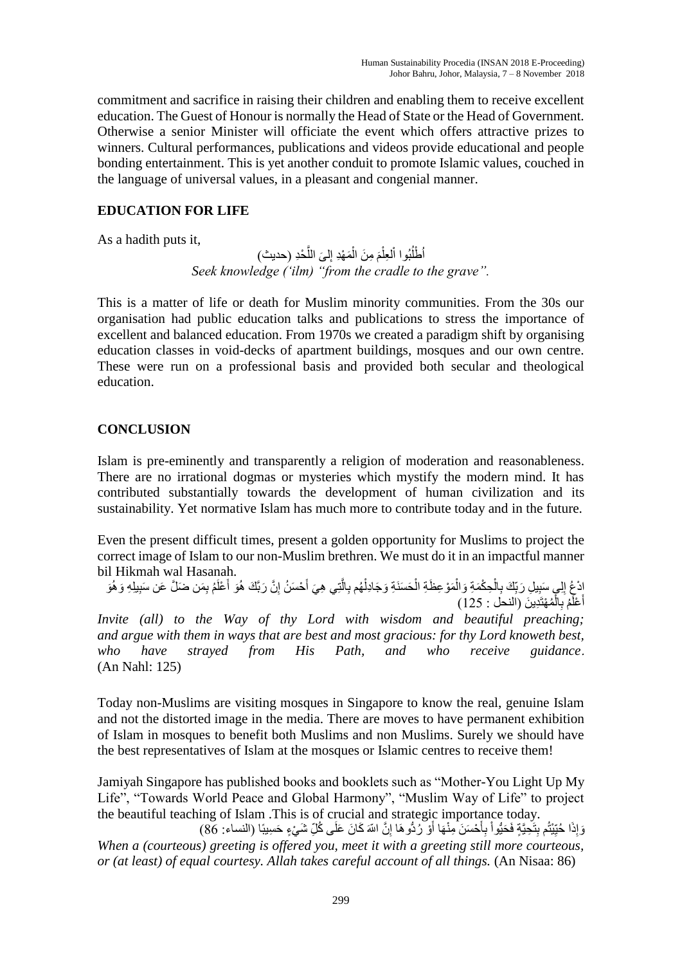commitment and sacrifice in raising their children and enabling them to receive excellent education. The Guest of Honour is normally the Head of State or the Head of Government. Otherwise a senior Minister will officiate the event which offers attractive prizes to winners. Cultural performances, publications and videos provide educational and people bonding entertainment. This is yet another conduit to promote Islamic values, couched in the language of universal values, in a pleasant and congenial manner.

## **EDUCATION FOR LIFE**

As a hadith puts it,

أَطْلُبُوا اْلْعِلْمَ مِنَ الْمَهْدِ إِلَىَ اللَّحْدِ (حديث) ْ ْ ِ *Seek knowledge ('ilm) "from the cradle to the grave".*

This is a matter of life or death for Muslim minority communities. From the 30s our organisation had public education talks and publications to stress the importance of excellent and balanced education. From 1970s we created a paradigm shift by organising education classes in void-decks of apartment buildings, mosques and our own centre. These were run on a professional basis and provided both secular and theological education.

### **CONCLUSION**

Islam is pre-eminently and transparently a religion of moderation and reasonableness. There are no irrational dogmas or mysteries which mystify the modern mind. It has contributed substantially towards the development of human civilization and its sustainability. Yet normative Islam has much more to contribute today and in the future.

Even the present difficult times, present a golden opportunity for Muslims to project the correct image of Islam to our non-Muslim brethren. We must do it in an impactful manner bil Hikmah wal Hasanah.

إِنْجُ إِلَي سَبِيلِ رَبِّكَ بِالْحِكْمَةِ وَالْمَوْعِظَةِ الْحَسَنَةِ وَجَادِلْهُم بِالَّتِي هِيَ أَحْسَنُ إِنَّ رَبَّكَ هُوَ أَعْلَمُ بِمَن ضَلَّ عَن سَبِيلِهِ وَهُوَ ْ ِ ْ َ ِ َ َّ ْ **ٔ** أَعْلَّمُ بِالْمُهْتَدِينَ (النحل : 125) ْ

*Invite (all) to the Way of thy Lord with wisdom and beautiful preaching; and argue with them in ways that are best and most gracious: for thy Lord knoweth best, who have strayed from His Path, and who receive guidance*. (An Nahl: 125)

Today non-Muslims are visiting mosques in Singapore to know the real, genuine Islam and not the distorted image in the media. There are moves to have permanent exhibition of Islam in mosques to benefit both Muslims and non Muslims. Surely we should have the best representatives of Islam at the mosques or Islamic centres to receive them!

Jamiyah Singapore has published books and booklets such as "Mother-You Light Up My Life", "Towards World Peace and Global Harmony", "Muslim Way of Life" to project the beautiful teaching of Islam .This is of crucial and strategic importance today.

رَ إِذَا حُبِّيْتُم بِتَحِيَّةٍ فَحَيُّواْ بِأَحْسَنَ مِنْهَا أَوْ رُدُّوهَا إِنَّ اللّهَ كَانَ عَلَى كُلِّ شَيْءٍ حَسِيبًا (النساء: 86) **∶** َ ِأ ٔ. ِ َ *When a (courteous) greeting is offered you, meet it with a greeting still more courteous, or (at least) of equal courtesy. Allah takes careful account of all things.* (An Nisaa: 86)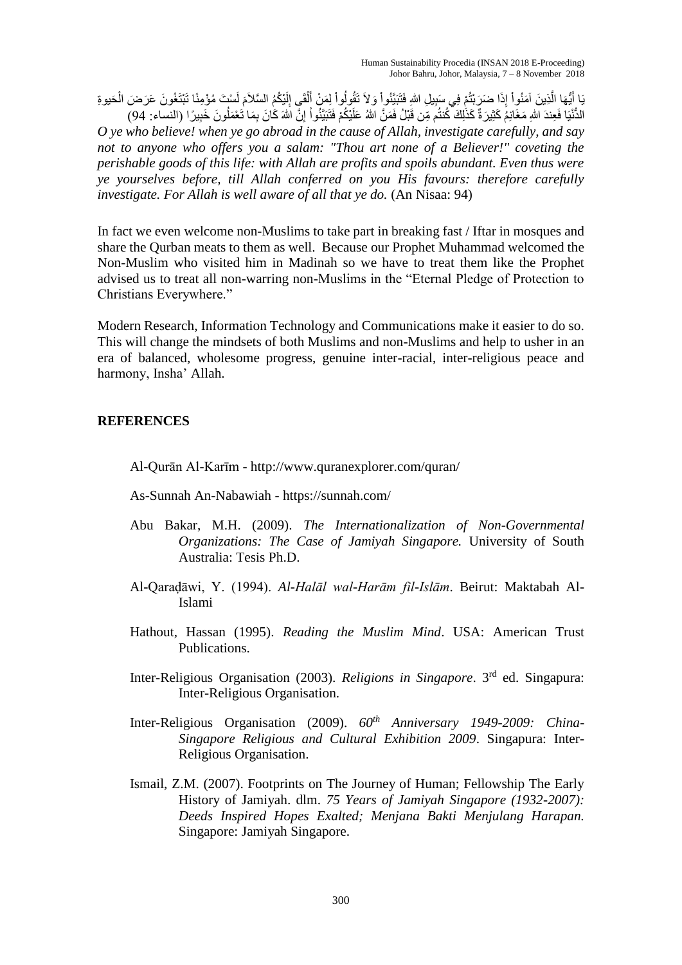يَا أَيُّهَا الَّذِينَ آمَنُواْ إِذَا ضَرَبْتُمْ فِي سَبِيلِ اللَّهِ فَتَبَيَّنُواْ وَلاَ تَقُولُواْ لِمَنْ أَلْقَيِ إِلَيْكُمُ السَّلاَمَ لَسْتَ مُؤْمِنًا تَبْتَغُونَ عَرَضَ الْحَيوةِ<br>دؤوليس َّ َ ا<br>ا ٔ. ْ لَ َ لَ ِ ْ َ ِل ْ

الْدُّنْيَا فَعِندَ اللهِ مَغَانِمُ كَثِيرَةٌ كَذَلِكَ كُنتُم مِّن قَبْلُ فَمَنَّ اللهُ عَلَيْكُمْ فَنَبَيَّتُو أُ إِنَّ اللهَ كَانَ بِمَا تَعْمَلُونَ خَبِيرًا (النساء: 94) ِ ا<br>ا *O ye who believe! when ye go abroad in the cause of Allah, investigate carefully, and say not to anyone who offers you a salam: "Thou art none of a Believer!" coveting the perishable goods of this life: with Allah are profits and spoils abundant. Even thus were ye yourselves before, till Allah conferred on you His favours: therefore carefully investigate. For Allah is well aware of all that ye do.* (An Nisaa: 94)

In fact we even welcome non-Muslims to take part in breaking fast / Iftar in mosques and share the Qurban meats to them as well. Because our Prophet Muhammad welcomed the Non-Muslim who visited him in Madinah so we have to treat them like the Prophet advised us to treat all non-warring non-Muslims in the "Eternal Pledge of Protection to Christians Everywhere."

Modern Research, Information Technology and Communications make it easier to do so. This will change the mindsets of both Muslims and non-Muslims and help to usher in an era of balanced, wholesome progress, genuine inter-racial, inter-religious peace and harmony, Insha' Allah.

#### **REFERENCES**

- Al-Qurān Al-Karīm http://www.quranexplorer.com/quran/
- As-Sunnah An-Nabawiah https://sunnah.com/
- Abu Bakar, M.H. (2009). *The Internationalization of Non-Governmental Organizations: The Case of Jamiyah Singapore.* University of South Australia: Tesis Ph.D.
- Al-Qaraḍāwi, Y. (1994). *Al-Halāl wal-Harām fil-Islām*. Beirut: Maktabah Al-Islami
- Hathout, Hassan (1995). *Reading the Muslim Mind*. USA: American Trust Publications.
- Inter-Religious Organisation (2003). *Religions in Singapore*. 3rd ed. Singapura: Inter-Religious Organisation.
- Inter-Religious Organisation (2009). *60th Anniversary 1949-2009: China-Singapore Religious and Cultural Exhibition 2009*. Singapura: Inter-Religious Organisation.
- Ismail, Z.M. (2007). Footprints on The Journey of Human; Fellowship The Early History of Jamiyah. dlm. *75 Years of Jamiyah Singapore (1932-2007): Deeds Inspired Hopes Exalted; Menjana Bakti Menjulang Harapan.*  Singapore: Jamiyah Singapore.